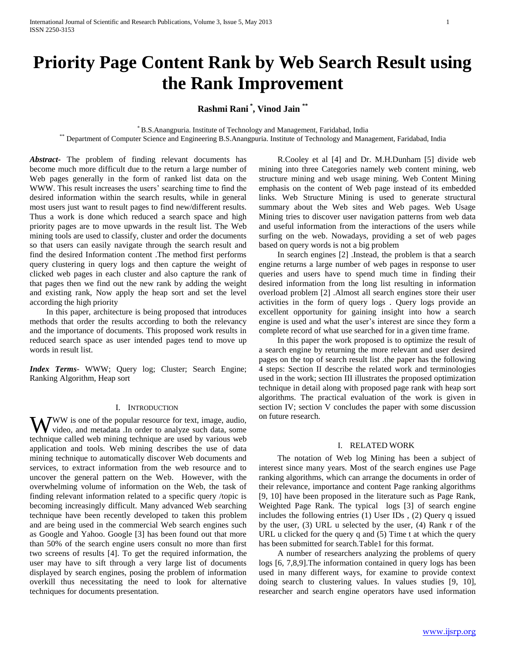# **Priority Page Content Rank by Web Search Result using the Rank Improvement**

**Rashmi Rani \* , Vinod Jain \*\***

\* B.S.Anangpuria. Institute of Technology and Management, Faridabad, India

\*\* Department of Computer Science and Engineering B.S.Anangpuria. Institute of Technology and Management, Faridabad, India

*Abstract***-** The problem of finding relevant documents has become much more difficult due to the return a large number of Web pages generally in the form of ranked list data on the WWW. This result increases the users' searching time to find the desired information within the search results, while in general most users just want to result pages to find new/different results. Thus a work is done which reduced a search space and high priority pages are to move upwards in the result list. The Web mining tools are used to classify, cluster and order the documents so that users can easily navigate through the search result and find the desired Information content .The method first performs query clustering in query logs and then capture the weight of clicked web pages in each cluster and also capture the rank of that pages then we find out the new rank by adding the weight and existing rank, Now apply the heap sort and set the level according the high priority

 In this paper, architecture is being proposed that introduces methods that order the results according to both the relevancy and the importance of documents. This proposed work results in reduced search space as user intended pages tend to move up words in result list.

*Index Terms*- WWW; Query log; Cluster; Search Engine; Ranking Algorithm, Heap sort

# I. INTRODUCTION

**JWW** is one of the popular resource for text, image, audio, WW is one of the popular resource for text, image, audio, video, and metadata .In order to analyze such data, some technique called web mining technique are used by various web application and tools. Web mining describes the use of data mining technique to automatically discover Web documents and services, to extract information from the web resource and to uncover the general pattern on the Web. However, with the overwhelming volume of information on the Web, the task of finding relevant information related to a specific query /topic is becoming increasingly difficult. Many advanced Web searching technique have been recently developed to taken this problem and are being used in the commercial Web search engines such as Google and Yahoo. Google [3] has been found out that more than 50% of the search engine users consult no more than first two screens of results [4]. To get the required information, the user may have to sift through a very large list of documents displayed by search engines, posing the problem of information overkill thus necessitating the need to look for alternative techniques for documents presentation.

 R.Cooley et al [4] and Dr. M.H.Dunham [5] divide web mining into three Categories namely web content mining, web structure mining and web usage mining. Web Content Mining emphasis on the content of Web page instead of its embedded links. Web Structure Mining is used to generate structural summary about the Web sites and Web pages. Web Usage Mining tries to discover user navigation patterns from web data and useful information from the interactions of the users while surfing on the web. Nowadays, providing a set of web pages based on query words is not a big problem

 In search engines [2] .Instead, the problem is that a search engine returns a large number of web pages in response to user queries and users have to spend much time in finding their desired information from the long list resulting in information overload problem [2] .Almost all search engines store their user activities in the form of query logs . Query logs provide an excellent opportunity for gaining insight into how a search engine is used and what the user's interest are since they form a complete record of what use searched for in a given time frame.

 In this paper the work proposed is to optimize the result of a search engine by returning the more relevant and user desired pages on the top of search result list .the paper has the following 4 steps: Section II describe the related work and terminologies used in the work; section III illustrates the proposed optimization technique in detail along with proposed page rank with heap sort algorithms. The practical evaluation of the work is given in section IV; section V concludes the paper with some discussion on future research.

# I. RELATED WORK

 The notation of Web log Mining has been a subject of interest since many years. Most of the search engines use Page ranking algorithms, which can arrange the documents in order of their relevance, importance and content Page ranking algorithms [9, 10] have been proposed in the literature such as Page Rank, Weighted Page Rank. The typical logs [3] of search engine includes the following entries (1) User IDs , (2) Query q issued by the user, (3) URL u selected by the user, (4) Rank r of the URL u clicked for the query q and (5) Time t at which the query has been submitted for search.Table1 for this format.

 A number of researchers analyzing the problems of query logs [6, 7,8,9].The information contained in query logs has been used in many different ways, for examine to provide context doing search to clustering values. In values studies [9, 10], researcher and search engine operators have used information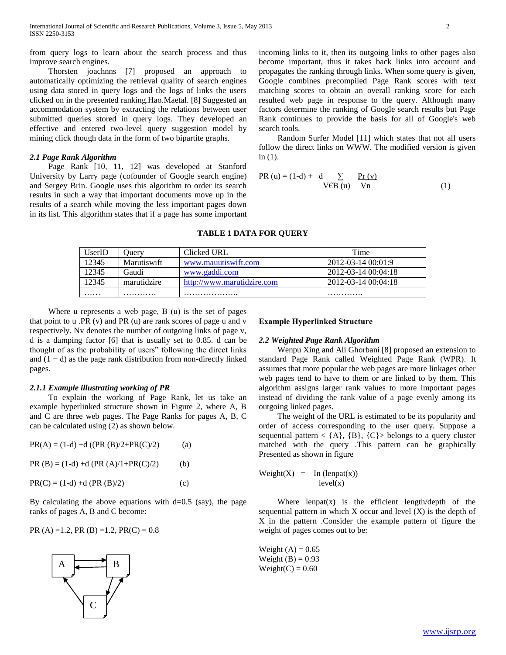from query logs to learn about the search process and thus improve search engines.

 Thorsten joachnns [7] proposed an approach to automatically optimizing the retrieval quality of search engines using data stored in query logs and the logs of links the users clicked on in the presented ranking.Hao.Maetal. [8] Suggested an accommodation system by extracting the relations between user submitted queries stored in query logs. They developed an effective and entered two-level query suggestion model by mining click though data in the form of two bipartite graphs.

# *2.1 Page Rank Algorithm*

 Page Rank [10, 11, 12] was developed at Stanford University by Larry page (cofounder of Google search engine) and Sergey Brin. Google uses this algorithm to order its search results in such a way that important documents move up in the results of a search while moving the less important pages down in its list. This algorithm states that if a page has some important incoming links to it, then its outgoing links to other pages also become important, thus it takes back links into account and propagates the ranking through links. When some query is given, Google combines precompiled Page Rank scores with text matching scores to obtain an overall ranking score for each resulted web page in response to the query. Although many factors determine the ranking of Google search results but Page Rank continues to provide the basis for all of Google's web search tools.

 Random Surfer Model [11] which states that not all users follow the direct links on WWW. The modified version is given in (1).

PR (u) = (1-d) + d 
$$
\sum
$$
  $\sum$   $\frac{Pr(v)}{V \times R(v)}$  (1)

## **TABLE 1 DATA FOR QUERY**

| UserID | Juerv       | Clicked URL                | Time                |
|--------|-------------|----------------------------|---------------------|
| 12345  | Marutiswift | www.mauutiswift.com        | 2012-03-14 00:01:9  |
| 12345  | Gaudi       | www.gaddi.com              | 2012-03-14 00:04:18 |
| 12345  | marutidzire | http://www.marutidzire.com | 2012-03-14 00:04:18 |
| .      | .           | .                          | .                   |

 Where u represents a web page, B (u) is the set of pages that point to u .PR (v) and PR (u) are rank scores of page u and v respectively. Nv denotes the number of outgoing links of page v, d is a damping factor [6] that is usually set to 0.85. d can be thought of as the probability of users" following the direct links and  $(1 - d)$  as the page rank distribution from non-directly linked pages.

# *2.1.1 Example illustrating working of PR*

 To explain the working of Page Rank, let us take an example hyperlinked structure shown in Figure 2, where A, B and C are three web pages. The Page Ranks for pages A, B, C can be calculated using (2) as shown below.

| $PR(A) = (1-d) + d ((PR (B)/2 + PR(C)/2)$ | (a) |
|-------------------------------------------|-----|
|                                           |     |

PR  $(B) = (1-d) + d$  (PR  $(A)/1+PR(C)/2$ ) (b)

 $PR(C) = (1-d) + d (PR (B)/2)$  (c)

By calculating the above equations with  $d=0.5$  (say), the page ranks of pages A, B and C become:

PR  $(A) = 1.2$ , PR  $(B) = 1.2$ , PR $(C) = 0.8$ 



#### **Example Hyperlinked Structure**

#### *2.2 Weighted Page Rank Algorithm*

 Wenpu Xing and Ali Ghorbani [8] proposed an extension to standard Page Rank called Weighted Page Rank (WPR). It assumes that more popular the web pages are more linkages other web pages tend to have to them or are linked to by them. This algorithm assigns larger rank values to more important pages instead of dividing the rank value of a page evenly among its outgoing linked pages.

 The weight of the URL is estimated to be its popularity and order of access corresponding to the user query. Suppose a sequential pattern  $\langle \{A\}, \{B\}, \{C\} \rangle$  belongs to a query cluster matched with the query .This pattern can be graphically Presented as shown in figure

$$
\begin{array}{rcl}\n\text{Weight}(X) & = & \underline{\text{In (length(x))}} \\
\text{level}(x)\n\end{array}
$$

Where  $l$ enpat $(x)$  is the efficient length/depth of the sequential pattern in which  $X$  occur and level  $(X)$  is the depth of X in the pattern .Consider the example pattern of figure the weight of pages comes out to be:

Weight  $(A) = 0.65$ Weight  $(B) = 0.93$  $Weight(C) = 0.60$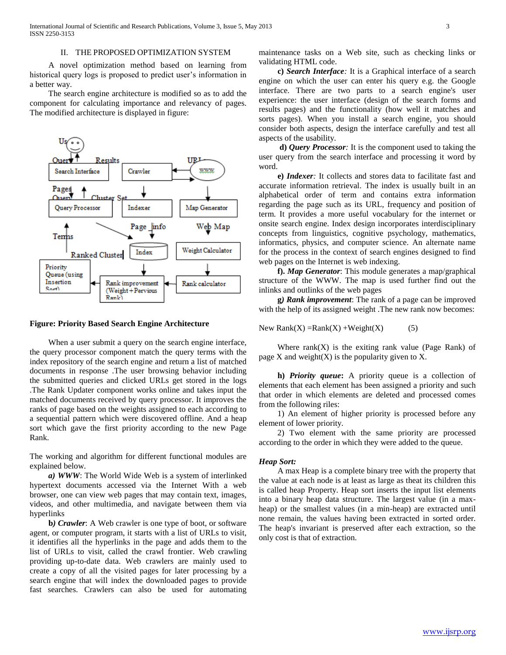A novel optimization method based on learning from historical query logs is proposed to predict user's information in a better way.

 The search engine architecture is modified so as to add the component for calculating importance and relevancy of pages. The modified architecture is displayed in figure:



#### **Figure: Priority Based Search Engine Architecture**

 When a user submit a query on the search engine interface, the query processor component match the query terms with the index repository of the search engine and return a list of matched documents in response .The user browsing behavior including the submitted queries and clicked URLs get stored in the logs .The Rank Updater component works online and takes input the matched documents received by query processor. It improves the ranks of page based on the weights assigned to each according to a sequential pattern which were discovered offline. And a heap sort which gave the first priority according to the new Page Rank.

The working and algorithm for different functional modules are explained below.

 *a) WWW*: The World Wide Web is a system of interlinked hypertext documents accessed via the Internet With a web browser, one can view web pages that may contain text, images, videos, and other multimedia, and navigate between them via hyperlinks

 **b***) Crawler*: A Web crawler is one type of boot, or software agent, or computer program, it starts with a list of URLs to visit, it identifies all the hyperlinks in the page and adds them to the list of URLs to visit, called the crawl frontier. Web crawling providing up-to-date data. Web crawlers are mainly used to create a copy of all the visited pages for later processing by a search engine that will index the downloaded pages to provide fast searches. Crawlers can also be used for automating maintenance tasks on a Web site, such as checking links or validating HTML code.

 **c)** *Search Interface:* It is a Graphical interface of a search engine on which the user can enter his query e.g. the Google interface. There are two parts to a search engine's user experience: the user interface (design of the search forms and results pages) and the functionality (how well it matches and sorts pages). When you install a search engine, you should consider both aspects, design the interface carefully and test all aspects of the usability.

 **d)** *Query Processor:* It is the component used to taking the user query from the search interface and processing it word by word.

 **e)** *Indexer:* It collects and stores data to facilitate fast and accurate information retrieval. The index is usually built in an alphabetical order of term and contains extra information regarding the page such as its URL, frequency and position of term. It provides a more useful vocabulary for the internet or onsite search engine. Index design incorporates interdisciplinary concepts from linguistics, cognitive psychology, mathematics, informatics, physics, and computer science. An alternate name for the process in the context of search engines designed to find web pages on the Internet is web indexing.

 **f).** *Map Generator*: This module generates a map/graphical structure of the WWW. The map is used further find out the inlinks and outlinks of the web pages

 **g***) Rank improvement*: The rank of a page can be improved with the help of its assigned weight .The new rank now becomes:

New Rank $(X)$  =Rank $(X)$  +Weight $(X)$  (5)

Where  $rank(X)$  is the exiting rank value (Page Rank) of page  $X$  and weight $(X)$  is the popularity given to  $X$ .

 **h)** *Priority queue***:** A priority queue is a collection of elements that each element has been assigned a priority and such that order in which elements are deleted and processed comes from the following riles:

 1) An element of higher priority is processed before any element of lower priority.

 2) Two element with the same priority are processed according to the order in which they were added to the queue.

#### *Heap Sort:*

 A max Heap is a complete binary tree with the property that the value at each node is at least as large as theat its children this is called heap Property. Heap sort inserts the input list elements into a binary heap data structure. The largest value (in a maxheap) or the smallest values (in a min-heap) are extracted until none remain, the values having been extracted in sorted order. The heap's invariant is preserved after each extraction, so the only cost is that of extraction.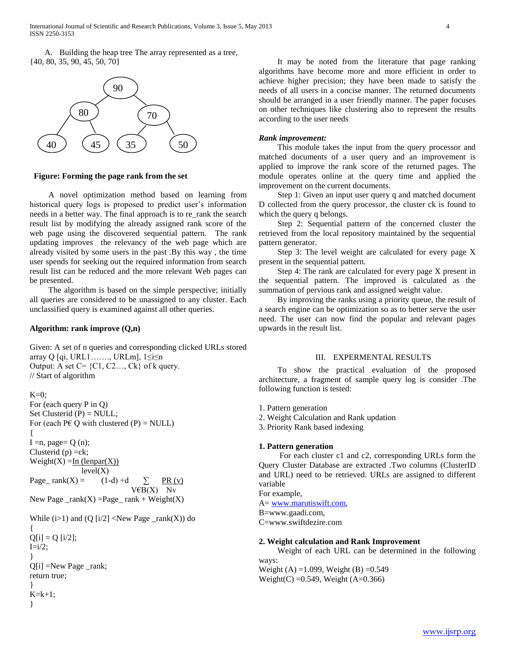A. Building the heap tree The array represented as a tree, {40, 80, 35, 90, 45, 50, 70}



# **Figure: Forming the page rank from the set**

 A novel optimization method based on learning from historical query logs is proposed to predict user's information needs in a better way. The final approach is to re\_rank the search result list by modifying the already assigned rank score of the web page using the discovered sequential pattern. The rank updating improves the relevancy of the web page which are already visited by some users in the past .By this way , the time user spends for seeking out the required information from search result list can be reduced and the more relevant Web pages can be presented.

 The algorithm is based on the simple perspective; initially all queries are considered to be unassigned to any cluster. Each unclassified query is examined against all other queries.

# **Algorithm: rank improve (Q,n)**

Given: A set of n queries and corresponding clicked URLs stored array Q [qi, URL1……., URLm], 1≤i≤n Output: A set  $C = \{C1, C2, \ldots, Ck\}$  of k query. // Start of algorithm

```
K=0:
For (each query P in Q)
Set Clusterid (P) = NULL;For (each P \in Q with clustered (P) = NULL)
{
I = n, page = Q(n);
Clusterid (p) = ck;
Weight(X) = In (leapar(X))level(X)Page_ rank(X) = (1-d) +d \sum PR (v)
                              V\mathcal{E}B(X) Nv
New Page \_rank(X) = Page\_ rank + Weight(X)While (i>1) and (Q[i/2] < New Page\_rank(X)) do
{
Q[i] = Q[i/2];I=i/2;}
Q[i] =New Page _rank;
return true;
}
K=k+1;
}
```
 It may be noted from the literature that page ranking algorithms have become more and more efficient in order to achieve higher precision; they have been made to satisfy the needs of all users in a concise manner. The returned documents should be arranged in a user friendly manner. The paper focuses on other techniques like clustering also to represent the results according to the user needs

# *Rank improvement:*

 This module takes the input from the query processor and matched documents of a user query and an improvement is applied to improve the rank score of the returned pages. The module operates online at the query time and applied the improvement on the current documents.

 Step 1: Given an input user query q and matched document D collected from the query processor, the cluster ck is found to which the query q belongs.

 Step 2: Sequential pattern of the concerned cluster the retrieved from the local repository maintained by the sequential pattern generator.

 Step 3: The level weight are calculated for every page X present in the sequential pattern.

 Step 4: The rank are calculated for every page X present in the sequential pattern. The improved is calculated as the summation of pervious rank and assigned weight value.

 By improving the ranks using a priority queue, the result of a search engine can be optimization so as to better serve the user need. The user can now find the popular and relevant pages upwards in the result list.

# III. EXPERMENTAL RESULTS

 To show the practical evaluation of the proposed architecture, a fragment of sample query log is consider .The following function is tested:

1. Pattern generation

2. Weight Calculation and Rank updation

3. Priority Rank based indexing

#### **1. Pattern generation**

 For each cluster c1 and c2, corresponding URLs form the Query Cluster Database are extracted .Two columns (ClusterID and URL) need to be retrieved. URLs are assigned to different variable

For example, A= [www.marutiswift.com,](http://www.marutiswift.com/) B=www.gaadi.com, C=www.swiftdezire.com

## **2. Weight calculation and Rank Improvement**

 Weight of each URL can be determined in the following ways:

Weight (A) = 1.099, Weight (B) =  $0.549$ Weight(C) =  $0.549$ , Weight (A= $0.366$ )